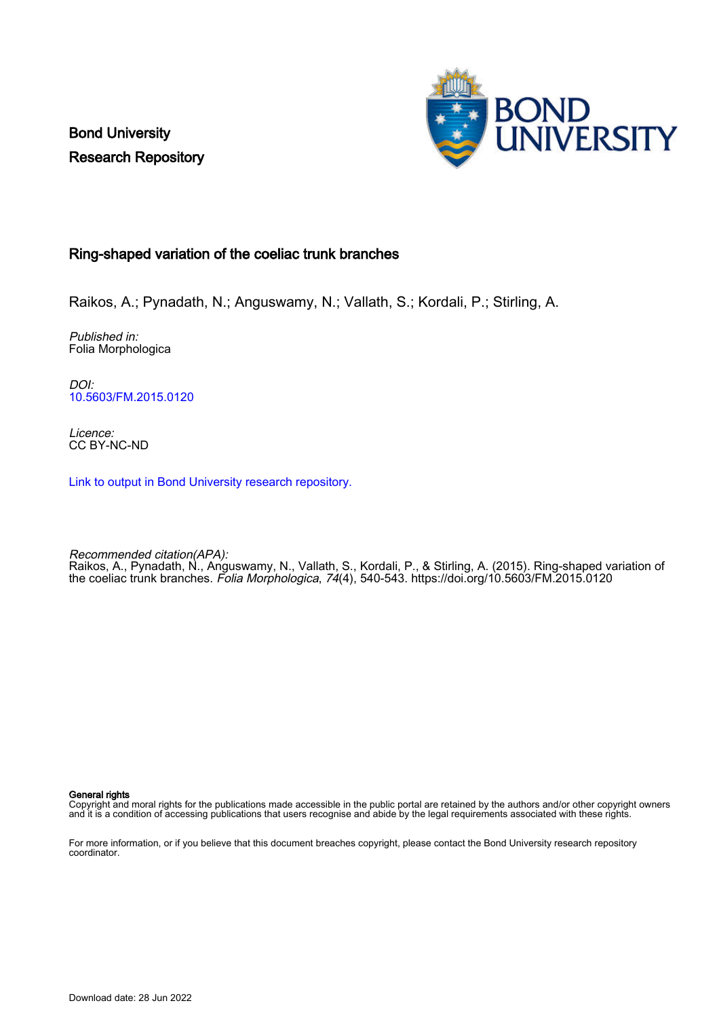Bond University Research Repository



## Ring-shaped variation of the coeliac trunk branches

Raikos, A.; Pynadath, N.; Anguswamy, N.; Vallath, S.; Kordali, P.; Stirling, A.

Published in: Folia Morphologica

DOI: [10.5603/FM.2015.0120](https://doi.org/10.5603/FM.2015.0120)

Licence: CC BY-NC-ND

[Link to output in Bond University research repository.](https://research.bond.edu.au/en/publications/198b66e8-e49e-4e41-abf1-5d3a57662e26)

Recommended citation(APA): Raikos, A., Pynadath, N., Anguswamy, N., Vallath, S., Kordali, P., & Stirling, A. (2015). Ring-shaped variation of the coeliac trunk branches. Folia Morphologica, 74(4), 540-543.<https://doi.org/10.5603/FM.2015.0120>

General rights

Copyright and moral rights for the publications made accessible in the public portal are retained by the authors and/or other copyright owners and it is a condition of accessing publications that users recognise and abide by the legal requirements associated with these rights.

For more information, or if you believe that this document breaches copyright, please contact the Bond University research repository coordinator.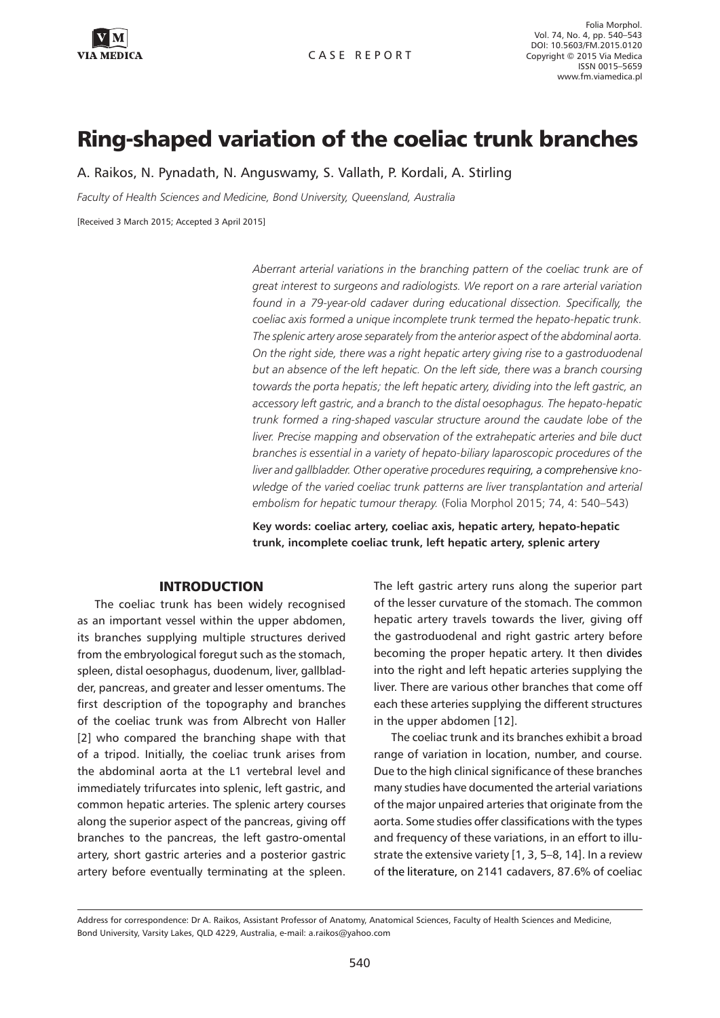

Folia Morphol. Vol. 74, No. 4, pp. 540–543 DOI: 10.5603/FM.2015.0120 Copyright © 2015 Via Medica ISSN 0015–5659 www.fm.viamedica.pl

# Ring-shaped variation of the coeliac trunk branches

A. Raikos, N. Pynadath, N. Anguswamy, S. Vallath, P. Kordali, A. Stirling

*Faculty of Health Sciences and Medicine, Bond University, Queensland, Australia*

[Received 3 March 2015; Accepted 3 April 2015]

*Aberrant arterial variations in the branching pattern of the coeliac trunk are of great interest to surgeons and radiologists. We report on a rare arterial variation found in a 79-year-old cadaver during educational dissection. Specifically, the coeliac axis formed a unique incomplete trunk termed the hepato-hepatic trunk. The splenic artery arose separately from the anterior aspect of the abdominal aorta. On the right side, there was a right hepatic artery giving rise to a gastroduodenal but an absence of the left hepatic. On the left side, there was a branch coursing towards the porta hepatis; the left hepatic artery, dividing into the left gastric, an accessory left gastric, and a branch to the distal oesophagus. The hepato-hepatic trunk formed a ring-shaped vascular structure around the caudate lobe of the liver. Precise mapping and observation of the extrahepatic arteries and bile duct branches is essential in a variety of hepato-biliary laparoscopic procedures of the liver and gallbladder. Other operative procedures requiring, a comprehensive knowledge of the varied coeliac trunk patterns are liver transplantation and arterial embolism for hepatic tumour therapy.* (Folia Morphol 2015; 74, 4: 540–543)

**Key words: coeliac artery, coeliac axis, hepatic artery, hepato-hepatic trunk, incomplete coeliac trunk, left hepatic artery, splenic artery**

### **INTRODUCTION**

The coeliac trunk has been widely recognised as an important vessel within the upper abdomen, its branches supplying multiple structures derived from the embryological foregut such as the stomach, spleen, distal oesophagus, duodenum, liver, gallbladder, pancreas, and greater and lesser omentums. The first description of the topography and branches of the coeliac trunk was from Albrecht von Haller [2] who compared the branching shape with that of a tripod. Initially, the coeliac trunk arises from the abdominal aorta at the L1 vertebral level and immediately trifurcates into splenic, left gastric, and common hepatic arteries. The splenic artery courses along the superior aspect of the pancreas, giving off branches to the pancreas, the left gastro-omental artery, short gastric arteries and a posterior gastric artery before eventually terminating at the spleen.

The left gastric artery runs along the superior part of the lesser curvature of the stomach. The common hepatic artery travels towards the liver, giving off the gastroduodenal and right gastric artery before becoming the proper hepatic artery. It then divides into the right and left hepatic arteries supplying the liver. There are various other branches that come off each these arteries supplying the different structures in the upper abdomen [12].

The coeliac trunk and its branches exhibit a broad range of variation in location, number, and course. Due to the high clinical significance of these branches many studies have documented the arterial variations of the major unpaired arteries that originate from the aorta. Some studies offer classifications with the types and frequency of these variations, in an effort to illustrate the extensive variety [1, 3, 5–8, 14]. In a review of the literature, on 2141 cadavers, 87.6% of coeliac

Address for correspondence: Dr A. Raikos, Assistant Professor of Anatomy, Anatomical Sciences, Faculty of Health Sciences and Medicine, Bond University, Varsity Lakes, QLD 4229, Australia, e-mail: a.raikos@yahoo.com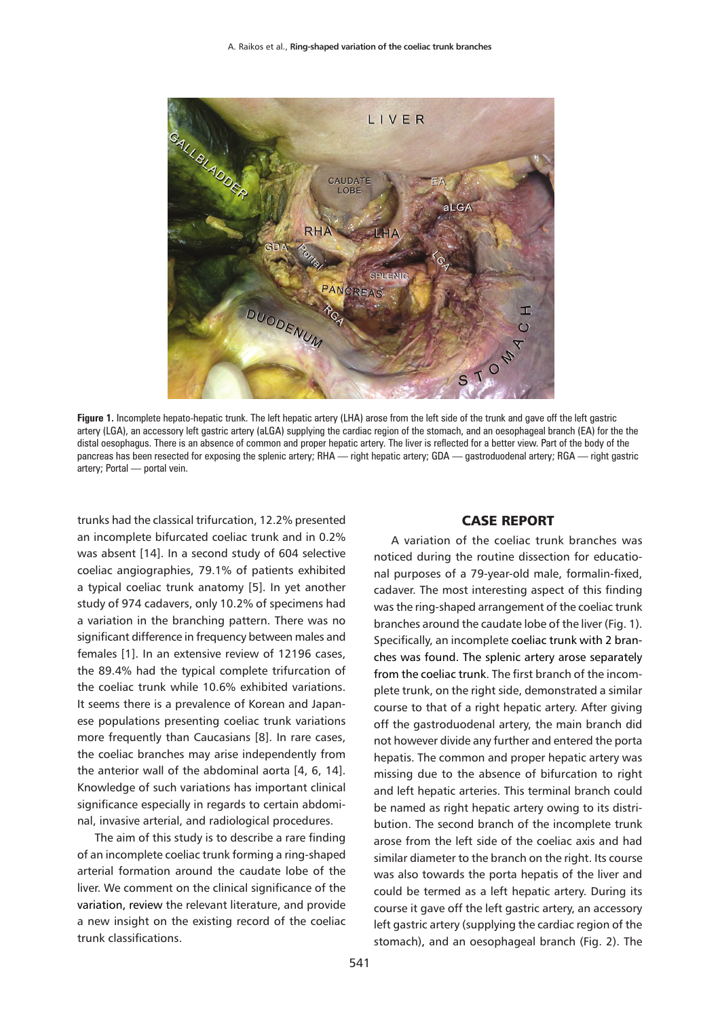

**Figure 1.** Incomplete hepato-hepatic trunk. The left hepatic artery (LHA) arose from the left side of the trunk and gave off the left gastric artery (LGA), an accessory left gastric artery (aLGA) supplying the cardiac region of the stomach, and an oesophageal branch (EA) for the the distal oesophagus. There is an absence of common and proper hepatic artery. The liver is reflected for a better view. Part of the body of the pancreas has been resected for exposing the splenic artery; RHA — right hepatic artery; GDA — gastroduodenal artery; RGA — right gastric artery; Portal — portal vein.

trunks had the classical trifurcation, 12.2% presented an incomplete bifurcated coeliac trunk and in 0.2% was absent [14]. In a second study of 604 selective coeliac angiographies, 79.1% of patients exhibited a typical coeliac trunk anatomy [5]. In yet another study of 974 cadavers, only 10.2% of specimens had a variation in the branching pattern. There was no significant difference in frequency between males and females [1]. In an extensive review of 12196 cases, the 89.4% had the typical complete trifurcation of the coeliac trunk while 10.6% exhibited variations. It seems there is a prevalence of Korean and Japanese populations presenting coeliac trunk variations more frequently than Caucasians [8]. In rare cases, the coeliac branches may arise independently from the anterior wall of the abdominal aorta [4, 6, 14]. Knowledge of such variations has important clinical significance especially in regards to certain abdominal, invasive arterial, and radiological procedures.

The aim of this study is to describe a rare finding of an incomplete coeliac trunk forming a ring-shaped arterial formation around the caudate lobe of the liver. We comment on the clinical significance of the variation, review the relevant literature, and provide a new insight on the existing record of the coeliac trunk classifications.

## CASE REPORT

A variation of the coeliac trunk branches was noticed during the routine dissection for educational purposes of a 79-year-old male, formalin-fixed, cadaver. The most interesting aspect of this finding was the ring-shaped arrangement of the coeliac trunk branches around the caudate lobe of the liver (Fig. 1). Specifically, an incomplete coeliac trunk with 2 branches was found. The splenic artery arose separately from the coeliac trunk. The first branch of the incomplete trunk, on the right side, demonstrated a similar course to that of a right hepatic artery. After giving off the gastroduodenal artery, the main branch did not however divide any further and entered the porta hepatis. The common and proper hepatic artery was missing due to the absence of bifurcation to right and left hepatic arteries. This terminal branch could be named as right hepatic artery owing to its distribution. The second branch of the incomplete trunk arose from the left side of the coeliac axis and had similar diameter to the branch on the right. Its course was also towards the porta hepatis of the liver and could be termed as a left hepatic artery. During its course it gave off the left gastric artery, an accessory left gastric artery (supplying the cardiac region of the stomach), and an oesophageal branch (Fig. 2). The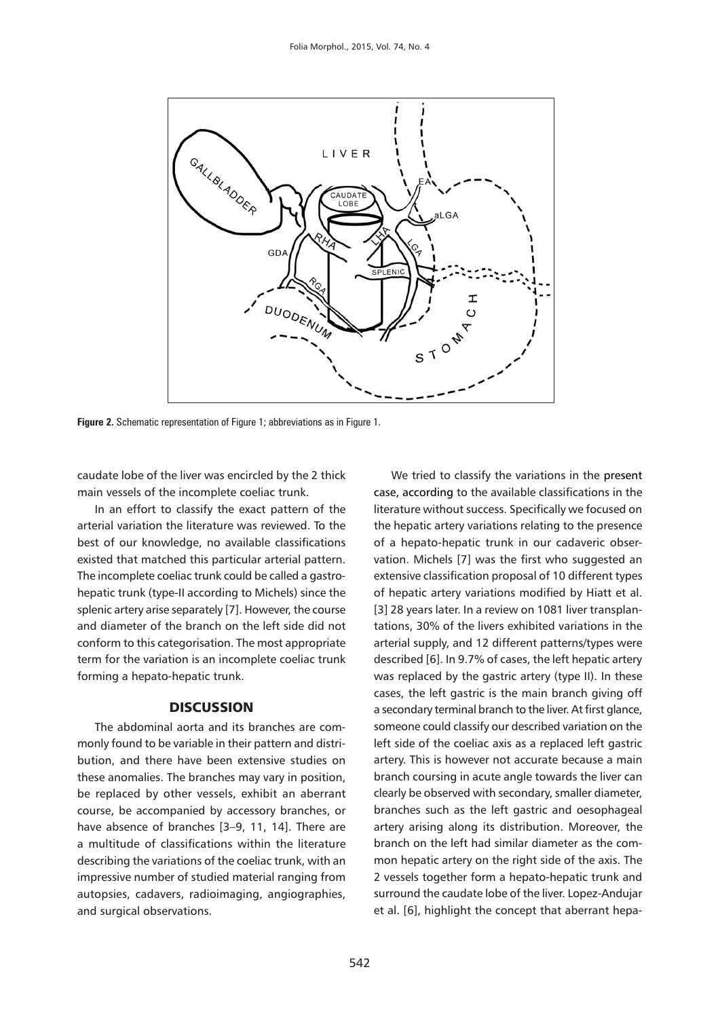

**Figure 2.** Schematic representation of Figure 1; abbreviations as in Figure 1.

caudate lobe of the liver was encircled by the 2 thick main vessels of the incomplete coeliac trunk.

In an effort to classify the exact pattern of the arterial variation the literature was reviewed. To the best of our knowledge, no available classifications existed that matched this particular arterial pattern. The incomplete coeliac trunk could be called a gastrohepatic trunk (type-II according to Michels) since the splenic artery arise separately [7]. However, the course and diameter of the branch on the left side did not conform to this categorisation. The most appropriate term for the variation is an incomplete coeliac trunk forming a hepato-hepatic trunk.

## **DISCUSSION**

The abdominal aorta and its branches are commonly found to be variable in their pattern and distribution, and there have been extensive studies on these anomalies. The branches may vary in position, be replaced by other vessels, exhibit an aberrant course, be accompanied by accessory branches, or have absence of branches [3-9, 11, 14]. There are a multitude of classifications within the literature describing the variations of the coeliac trunk, with an impressive number of studied material ranging from autopsies, cadavers, radioimaging, angiographies, and surgical observations.

We tried to classify the variations in the present case, according to the available classifications in the literature without success. Specifically we focused on the hepatic artery variations relating to the presence of a hepato-hepatic trunk in our cadaveric observation. Michels [7] was the first who suggested an extensive classification proposal of 10 different types of hepatic artery variations modified by Hiatt et al. [3] 28 years later. In a review on 1081 liver transplantations, 30% of the livers exhibited variations in the arterial supply, and 12 different patterns/types were described [6]. In 9.7% of cases, the left hepatic artery was replaced by the gastric artery (type II). In these cases, the left gastric is the main branch giving off a secondary terminal branch to the liver. At first glance, someone could classify our described variation on the left side of the coeliac axis as a replaced left gastric artery. This is however not accurate because a main branch coursing in acute angle towards the liver can clearly be observed with secondary, smaller diameter, branches such as the left gastric and oesophageal artery arising along its distribution. Moreover, the branch on the left had similar diameter as the common hepatic artery on the right side of the axis. The 2 vessels together form a hepato-hepatic trunk and surround the caudate lobe of the liver. Lopez-Andujar et al. [6], highlight the concept that aberrant hepa